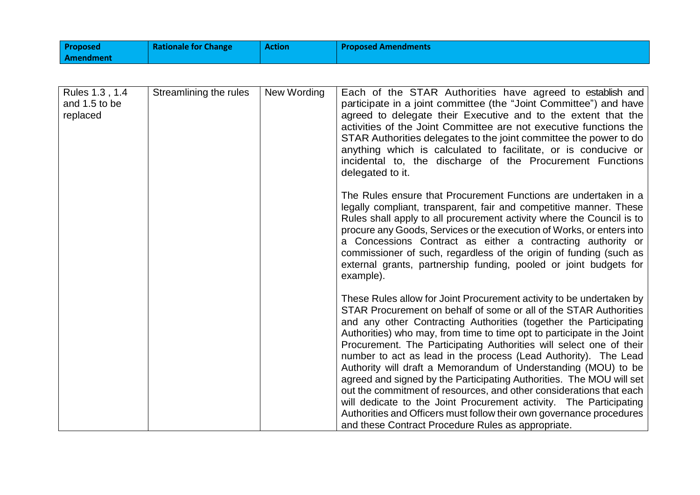| <b>Proposed</b> | <b>Rationale for Change</b> | <b>Action</b> | <b>Proposed Amendments</b> |
|-----------------|-----------------------------|---------------|----------------------------|
| Amendment       |                             |               |                            |

| Rules 1.3, 1.4<br>and 1.5 to be<br>replaced | Streamlining the rules | New Wording | Each of the STAR Authorities have agreed to establish and<br>participate in a joint committee (the "Joint Committee") and have<br>agreed to delegate their Executive and to the extent that the<br>activities of the Joint Committee are not executive functions the<br>STAR Authorities delegates to the joint committee the power to do<br>anything which is calculated to facilitate, or is conducive or<br>incidental to, the discharge of the Procurement Functions<br>delegated to it.                                                                                                                                                                                                                                                                                                                                                             |
|---------------------------------------------|------------------------|-------------|----------------------------------------------------------------------------------------------------------------------------------------------------------------------------------------------------------------------------------------------------------------------------------------------------------------------------------------------------------------------------------------------------------------------------------------------------------------------------------------------------------------------------------------------------------------------------------------------------------------------------------------------------------------------------------------------------------------------------------------------------------------------------------------------------------------------------------------------------------|
|                                             |                        |             | The Rules ensure that Procurement Functions are undertaken in a<br>legally compliant, transparent, fair and competitive manner. These<br>Rules shall apply to all procurement activity where the Council is to<br>procure any Goods, Services or the execution of Works, or enters into<br>a Concessions Contract as either a contracting authority or<br>commissioner of such, regardless of the origin of funding (such as<br>external grants, partnership funding, pooled or joint budgets for<br>example).                                                                                                                                                                                                                                                                                                                                           |
|                                             |                        |             | These Rules allow for Joint Procurement activity to be undertaken by<br>STAR Procurement on behalf of some or all of the STAR Authorities<br>and any other Contracting Authorities (together the Participating<br>Authorities) who may, from time to time opt to participate in the Joint<br>Procurement. The Participating Authorities will select one of their<br>number to act as lead in the process (Lead Authority). The Lead<br>Authority will draft a Memorandum of Understanding (MOU) to be<br>agreed and signed by the Participating Authorities. The MOU will set<br>out the commitment of resources, and other considerations that each<br>will dedicate to the Joint Procurement activity. The Participating<br>Authorities and Officers must follow their own governance procedures<br>and these Contract Procedure Rules as appropriate. |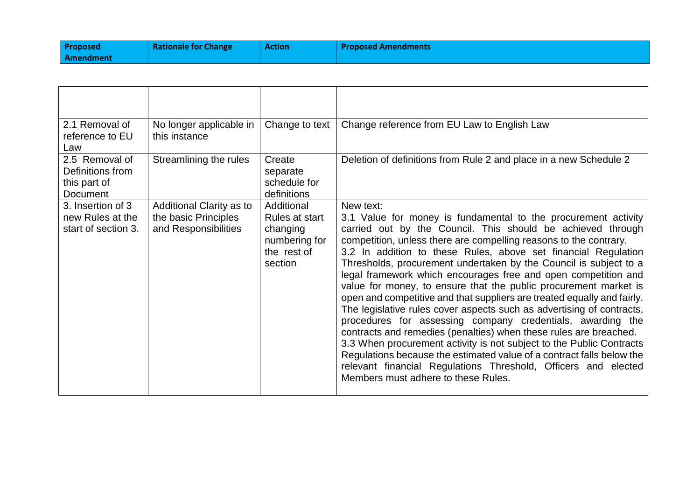| <b>Proposed</b> | <b>Rationale for Change</b> | <b>Action</b> | <b>Proposed Amendments</b> |
|-----------------|-----------------------------|---------------|----------------------------|
| Amendment       |                             |               |                            |

| 2.1 Removal of                                                 | No longer applicable in                                                  | Change to text                                                                      | Change reference from EU Law to English Law                                                                                                                                                                                                                                                                                                                                                                                                                                                                                                                                                                                                                                                                                                                                                                                                                                                                                                                                                                                                   |
|----------------------------------------------------------------|--------------------------------------------------------------------------|-------------------------------------------------------------------------------------|-----------------------------------------------------------------------------------------------------------------------------------------------------------------------------------------------------------------------------------------------------------------------------------------------------------------------------------------------------------------------------------------------------------------------------------------------------------------------------------------------------------------------------------------------------------------------------------------------------------------------------------------------------------------------------------------------------------------------------------------------------------------------------------------------------------------------------------------------------------------------------------------------------------------------------------------------------------------------------------------------------------------------------------------------|
| reference to EU<br>Law                                         | this instance                                                            |                                                                                     |                                                                                                                                                                                                                                                                                                                                                                                                                                                                                                                                                                                                                                                                                                                                                                                                                                                                                                                                                                                                                                               |
| 2.5 Removal of<br>Definitions from<br>this part of<br>Document | Streamlining the rules                                                   | Create<br>separate<br>schedule for<br>definitions                                   | Deletion of definitions from Rule 2 and place in a new Schedule 2                                                                                                                                                                                                                                                                                                                                                                                                                                                                                                                                                                                                                                                                                                                                                                                                                                                                                                                                                                             |
| 3. Insertion of 3<br>new Rules at the<br>start of section 3.   | Additional Clarity as to<br>the basic Principles<br>and Responsibilities | Additional<br>Rules at start<br>changing<br>numbering for<br>the rest of<br>section | New text:<br>3.1 Value for money is fundamental to the procurement activity<br>carried out by the Council. This should be achieved through<br>competition, unless there are compelling reasons to the contrary.<br>3.2 In addition to these Rules, above set financial Regulation<br>Thresholds, procurement undertaken by the Council is subject to a<br>legal framework which encourages free and open competition and<br>value for money, to ensure that the public procurement market is<br>open and competitive and that suppliers are treated equally and fairly.<br>The legislative rules cover aspects such as advertising of contracts,<br>procedures for assessing company credentials, awarding the<br>contracts and remedies (penalties) when these rules are breached.<br>3.3 When procurement activity is not subject to the Public Contracts<br>Regulations because the estimated value of a contract falls below the<br>relevant financial Regulations Threshold, Officers and elected<br>Members must adhere to these Rules. |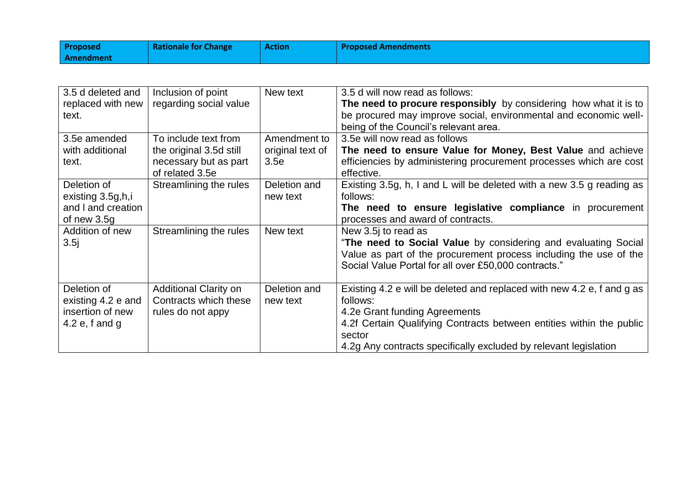| Proposed  | <b>Rationale for Change</b> | <b>Action</b> | <b>Proposed Amendments</b> |
|-----------|-----------------------------|---------------|----------------------------|
| Amendment |                             |               |                            |

| 3.5 d deleted and  | Inclusion of point           | New text         | 3.5 d will now read as follows:                                        |
|--------------------|------------------------------|------------------|------------------------------------------------------------------------|
| replaced with new  | regarding social value       |                  | The need to procure responsibly by considering how what it is to       |
| text.              |                              |                  | be procured may improve social, environmental and economic well-       |
|                    |                              |                  | being of the Council's relevant area.                                  |
| 3.5e amended       | To include text from         | Amendment to     | 3.5e will now read as follows                                          |
| with additional    | the original 3.5d still      | original text of | The need to ensure Value for Money, Best Value and achieve             |
| text.              | necessary but as part        | 3.5e             | efficiencies by administering procurement processes which are cost     |
|                    | of related 3.5e              |                  | effective.                                                             |
| Deletion of        | Streamlining the rules       | Deletion and     | Existing 3.5g, h, I and L will be deleted with a new 3.5 g reading as  |
| existing 3.5g,h,i  |                              | new text         | follows:                                                               |
| and I and creation |                              |                  | The need to ensure legislative compliance in procurement               |
| of new $3.5g$      |                              |                  | processes and award of contracts.                                      |
| Addition of new    | Streamlining the rules       | New text         | New 3.5 to read as                                                     |
| 3.5j               |                              |                  | "The need to Social Value by considering and evaluating Social         |
|                    |                              |                  | Value as part of the procurement process including the use of the      |
|                    |                              |                  | Social Value Portal for all over £50,000 contracts."                   |
|                    |                              |                  |                                                                        |
| Deletion of        | <b>Additional Clarity on</b> | Deletion and     | Existing 4.2 e will be deleted and replaced with new 4.2 e, f and g as |
| existing 4.2 e and | Contracts which these        | new text         | follows:                                                               |
| insertion of new   | rules do not appy            |                  | 4.2e Grant funding Agreements                                          |
| 4.2 $e$ , f and g  |                              |                  | 4.2f Certain Qualifying Contracts between entities within the public   |
|                    |                              |                  | sector                                                                 |
|                    |                              |                  | 4.2g Any contracts specifically excluded by relevant legislation       |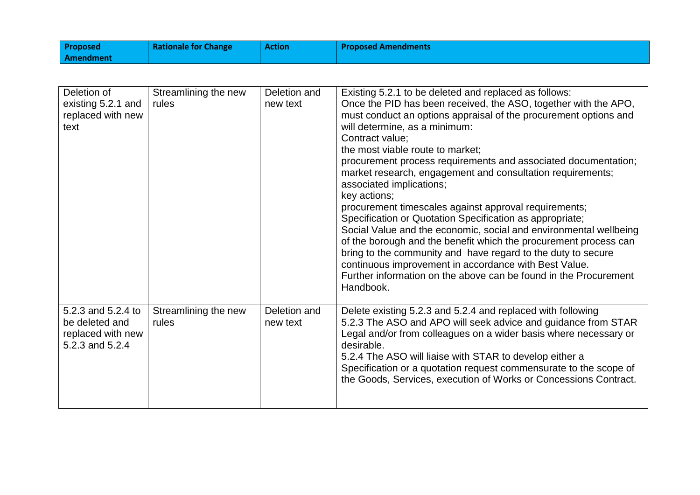| <b>Proposed</b> | <b>Rationale for Change</b> | <b>Action</b> | <b>Proposed Amendments</b> |
|-----------------|-----------------------------|---------------|----------------------------|
| Amendment       |                             |               |                            |

| Deletion of        | Streamlining the new | Deletion and | Existing 5.2.1 to be deleted and replaced as follows:             |
|--------------------|----------------------|--------------|-------------------------------------------------------------------|
| existing 5.2.1 and | rules                | new text     | Once the PID has been received, the ASO, together with the APO,   |
| replaced with new  |                      |              | must conduct an options appraisal of the procurement options and  |
| text               |                      |              | will determine, as a minimum:                                     |
|                    |                      |              | Contract value;                                                   |
|                    |                      |              | the most viable route to market;                                  |
|                    |                      |              | procurement process requirements and associated documentation;    |
|                    |                      |              | market research, engagement and consultation requirements;        |
|                    |                      |              | associated implications;                                          |
|                    |                      |              | key actions;                                                      |
|                    |                      |              | procurement timescales against approval requirements;             |
|                    |                      |              | Specification or Quotation Specification as appropriate;          |
|                    |                      |              | Social Value and the economic, social and environmental wellbeing |
|                    |                      |              | of the borough and the benefit which the procurement process can  |
|                    |                      |              | bring to the community and have regard to the duty to secure      |
|                    |                      |              | continuous improvement in accordance with Best Value.             |
|                    |                      |              | Further information on the above can be found in the Procurement  |
|                    |                      |              |                                                                   |
|                    |                      |              | Handbook.                                                         |
|                    |                      |              |                                                                   |
| 5.2.3 and 5.2.4 to | Streamlining the new | Deletion and | Delete existing 5.2.3 and 5.2.4 and replaced with following       |
| be deleted and     | rules                | new text     | 5.2.3 The ASO and APO will seek advice and guidance from STAR     |
| replaced with new  |                      |              | Legal and/or from colleagues on a wider basis where necessary or  |
| 5.2.3 and 5.2.4    |                      |              | desirable.                                                        |
|                    |                      |              | 5.2.4 The ASO will liaise with STAR to develop either a           |
|                    |                      |              | Specification or a quotation request commensurate to the scope of |
|                    |                      |              | the Goods, Services, execution of Works or Concessions Contract.  |
|                    |                      |              |                                                                   |
|                    |                      |              |                                                                   |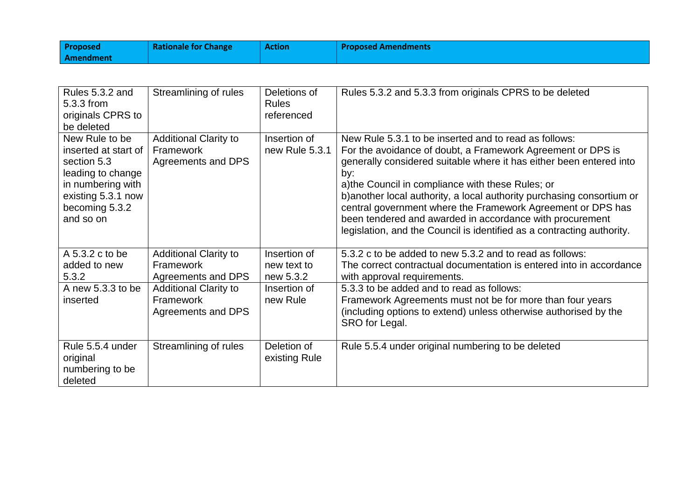| Proposed  | <b>Rationale for Change</b> | <b>Action</b> | <b>Proposed Amendments</b> |
|-----------|-----------------------------|---------------|----------------------------|
| Amendment |                             |               |                            |

| Rules 5.3.2 and<br>5.3.3 from<br>originals CPRS to<br>be deleted                                                                                     | Streamlining of rules                                           | Deletions of<br><b>Rules</b><br>referenced | Rules 5.3.2 and 5.3.3 from originals CPRS to be deleted                                                                                                                                                                                                                                                                                                                                                                                                                                                                                |
|------------------------------------------------------------------------------------------------------------------------------------------------------|-----------------------------------------------------------------|--------------------------------------------|----------------------------------------------------------------------------------------------------------------------------------------------------------------------------------------------------------------------------------------------------------------------------------------------------------------------------------------------------------------------------------------------------------------------------------------------------------------------------------------------------------------------------------------|
| New Rule to be<br>inserted at start of<br>section 5.3<br>leading to change<br>in numbering with<br>existing 5.3.1 now<br>becoming 5.3.2<br>and so on | <b>Additional Clarity to</b><br>Framework<br>Agreements and DPS | Insertion of<br>new Rule 5.3.1             | New Rule 5.3.1 to be inserted and to read as follows:<br>For the avoidance of doubt, a Framework Agreement or DPS is<br>generally considered suitable where it has either been entered into<br>by:<br>a) the Council in compliance with these Rules; or<br>b) another local authority, a local authority purchasing consortium or<br>central government where the Framework Agreement or DPS has<br>been tendered and awarded in accordance with procurement<br>legislation, and the Council is identified as a contracting authority. |
| A 5.3.2 c to be<br>added to new<br>5.3.2                                                                                                             | <b>Additional Clarity to</b><br>Framework<br>Agreements and DPS | Insertion of<br>new text to<br>new 5.3.2   | 5.3.2 c to be added to new 5.3.2 and to read as follows:<br>The correct contractual documentation is entered into in accordance<br>with approval requirements.                                                                                                                                                                                                                                                                                                                                                                         |
| A new 5.3.3 to be<br>inserted                                                                                                                        | <b>Additional Clarity to</b><br>Framework<br>Agreements and DPS | Insertion of<br>new Rule                   | 5.3.3 to be added and to read as follows:<br>Framework Agreements must not be for more than four years<br>(including options to extend) unless otherwise authorised by the<br>SRO for Legal.                                                                                                                                                                                                                                                                                                                                           |
| Rule 5.5.4 under<br>original<br>numbering to be<br>deleted                                                                                           | Streamlining of rules                                           | Deletion of<br>existing Rule               | Rule 5.5.4 under original numbering to be deleted                                                                                                                                                                                                                                                                                                                                                                                                                                                                                      |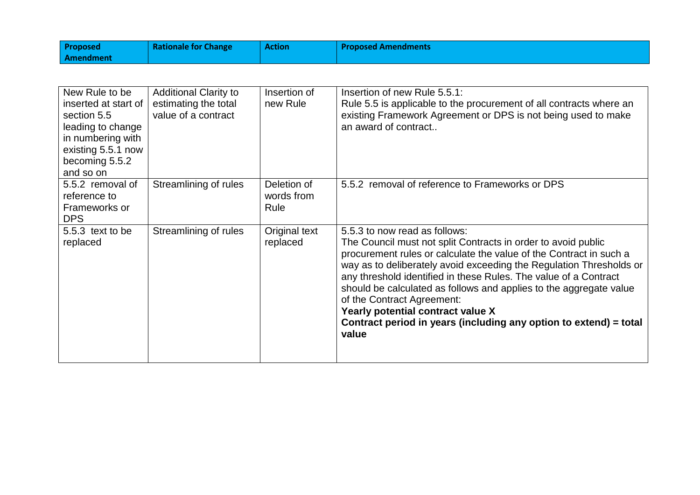| <b>Proposed</b> | <b>Rationale for Change</b> | <b>Action</b> | <b>Proposed Amendments</b> |
|-----------------|-----------------------------|---------------|----------------------------|
| Amendment       |                             |               |                            |

| New Rule to be<br>inserted at start of<br>section 5.5<br>leading to change<br>in numbering with<br>existing 5.5.1 now<br>becoming 5.5.2<br>and so on | <b>Additional Clarity to</b><br>estimating the total<br>value of a contract | Insertion of<br>new Rule          | Insertion of new Rule 5.5.1:<br>Rule 5.5 is applicable to the procurement of all contracts where an<br>existing Framework Agreement or DPS is not being used to make<br>an award of contract                                                                                                                                                                                                                                                                                                                                           |
|------------------------------------------------------------------------------------------------------------------------------------------------------|-----------------------------------------------------------------------------|-----------------------------------|----------------------------------------------------------------------------------------------------------------------------------------------------------------------------------------------------------------------------------------------------------------------------------------------------------------------------------------------------------------------------------------------------------------------------------------------------------------------------------------------------------------------------------------|
| 5.5.2 removal of<br>reference to<br>Frameworks or<br><b>DPS</b>                                                                                      | Streamlining of rules                                                       | Deletion of<br>words from<br>Rule | 5.5.2 removal of reference to Frameworks or DPS                                                                                                                                                                                                                                                                                                                                                                                                                                                                                        |
| 5.5.3 text to be<br>replaced                                                                                                                         | Streamlining of rules                                                       | Original text<br>replaced         | 5.5.3 to now read as follows:<br>The Council must not split Contracts in order to avoid public<br>procurement rules or calculate the value of the Contract in such a<br>way as to deliberately avoid exceeding the Regulation Thresholds or<br>any threshold identified in these Rules. The value of a Contract<br>should be calculated as follows and applies to the aggregate value<br>of the Contract Agreement:<br>Yearly potential contract value X<br>Contract period in years (including any option to extend) = total<br>value |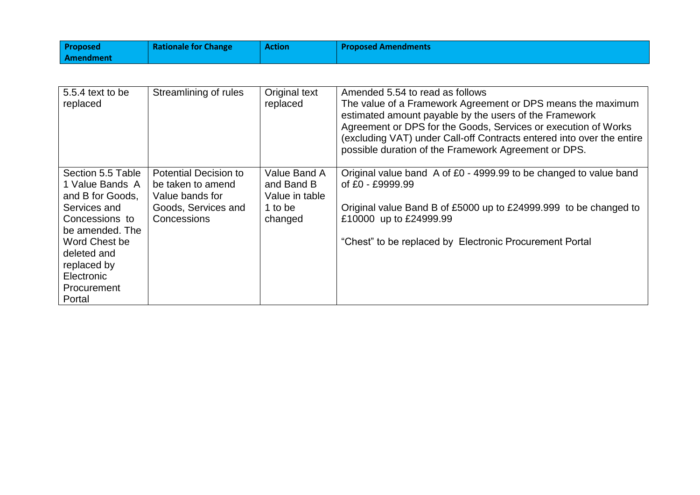| Proposed  | <b>Rationale for Change</b> | <b>Action</b> | <b>Proposed Amendments</b> |
|-----------|-----------------------------|---------------|----------------------------|
| Amendment |                             |               |                            |

| 5.5.4 text to be<br>replaced                                                                                                                                                                               | Streamlining of rules                                                                                      | Original text<br>replaced                                          | Amended 5.54 to read as follows<br>The value of a Framework Agreement or DPS means the maximum<br>estimated amount payable by the users of the Framework<br>Agreement or DPS for the Goods, Services or execution of Works<br>(excluding VAT) under Call-off Contracts entered into over the entire<br>possible duration of the Framework Agreement or DPS. |
|------------------------------------------------------------------------------------------------------------------------------------------------------------------------------------------------------------|------------------------------------------------------------------------------------------------------------|--------------------------------------------------------------------|-------------------------------------------------------------------------------------------------------------------------------------------------------------------------------------------------------------------------------------------------------------------------------------------------------------------------------------------------------------|
| Section 5.5 Table<br>1 Value Bands A<br>and B for Goods,<br>Services and<br>Concessions to<br>be amended. The<br>Word Chest be<br>deleted and<br>replaced by<br>Electronic<br><b>Procurement</b><br>Portal | <b>Potential Decision to</b><br>be taken to amend<br>Value bands for<br>Goods, Services and<br>Concessions | Value Band A<br>and Band B<br>Value in table<br>1 to be<br>changed | Original value band A of £0 - 4999.99 to be changed to value band<br>of £0 - £9999.99<br>Original value Band B of £5000 up to £24999.999 to be changed to<br>£10000 up to £24999.99<br>"Chest" to be replaced by Electronic Procurement Portal                                                                                                              |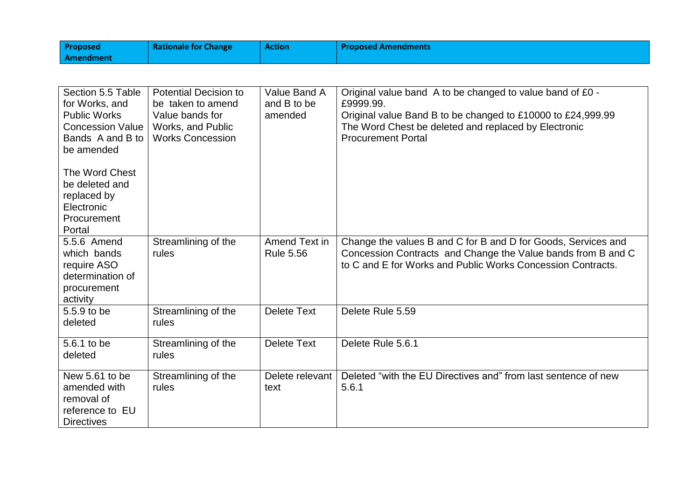| <b>Proposed</b>  | <b>Rationale for Change</b> | <b>Action</b> | <b>Proposed Amendments</b> |
|------------------|-----------------------------|---------------|----------------------------|
| <b>Amendment</b> |                             |               |                            |

| Section 5.5 Table<br>for Works, and<br><b>Public Works</b><br><b>Concession Value</b><br>Bands A and B to<br>be amended | <b>Potential Decision to</b><br>be taken to amend<br>Value bands for<br>Works, and Public<br><b>Works Concession</b> | Value Band A<br>and B to be<br>amended | Original value band A to be changed to value band of £0 -<br>£9999.99.<br>Original value Band B to be changed to £10000 to £24,999.99<br>The Word Chest be deleted and replaced by Electronic<br><b>Procurement Portal</b> |
|-------------------------------------------------------------------------------------------------------------------------|----------------------------------------------------------------------------------------------------------------------|----------------------------------------|----------------------------------------------------------------------------------------------------------------------------------------------------------------------------------------------------------------------------|
| The Word Chest<br>be deleted and<br>replaced by<br>Electronic<br>Procurement<br>Portal                                  |                                                                                                                      |                                        |                                                                                                                                                                                                                            |
| 5.5.6 Amend<br>which bands<br>require ASO<br>determination of<br>procurement<br>activity                                | Streamlining of the<br>rules                                                                                         | Amend Text in<br><b>Rule 5.56</b>      | Change the values B and C for B and D for Goods, Services and<br>Concession Contracts and Change the Value bands from B and C<br>to C and E for Works and Public Works Concession Contracts.                               |
| 5.5.9 to be<br>deleted                                                                                                  | Streamlining of the<br>rules                                                                                         | <b>Delete Text</b>                     | Delete Rule 5.59                                                                                                                                                                                                           |
| 5.6.1 to be<br>deleted                                                                                                  | Streamlining of the<br>rules                                                                                         | <b>Delete Text</b>                     | Delete Rule 5.6.1                                                                                                                                                                                                          |
| New 5.61 to be<br>amended with<br>removal of<br>reference to EU<br><b>Directives</b>                                    | Streamlining of the<br>rules                                                                                         | Delete relevant<br>text                | Deleted "with the EU Directives and" from last sentence of new<br>5.6.1                                                                                                                                                    |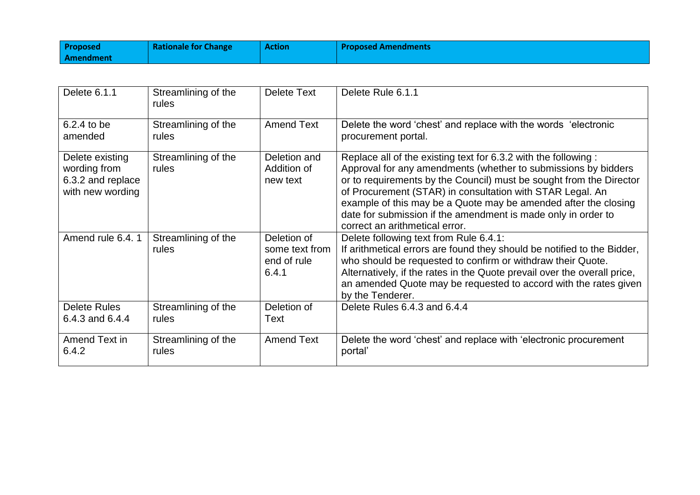| <b>Proposed</b> | <b>Rationale for Change</b> | <b>Action</b> | <b>Proposed Amendments</b> |
|-----------------|-----------------------------|---------------|----------------------------|
| Amendment       |                             |               |                            |

| Delete 6.1.1                                                             | Streamlining of the<br>rules | Delete Text                                           | Delete Rule 6.1.1                                                                                                                                                                                                                                                                                                                                                                                                                           |
|--------------------------------------------------------------------------|------------------------------|-------------------------------------------------------|---------------------------------------------------------------------------------------------------------------------------------------------------------------------------------------------------------------------------------------------------------------------------------------------------------------------------------------------------------------------------------------------------------------------------------------------|
| 6.2.4 to be                                                              | Streamlining of the          | <b>Amend Text</b>                                     | Delete the word 'chest' and replace with the words 'electronic                                                                                                                                                                                                                                                                                                                                                                              |
| amended                                                                  | rules                        |                                                       | procurement portal.                                                                                                                                                                                                                                                                                                                                                                                                                         |
| Delete existing<br>wording from<br>6.3.2 and replace<br>with new wording | Streamlining of the<br>rules | Deletion and<br>Addition of<br>new text               | Replace all of the existing text for 6.3.2 with the following :<br>Approval for any amendments (whether to submissions by bidders<br>or to requirements by the Council) must be sought from the Director<br>of Procurement (STAR) in consultation with STAR Legal. An<br>example of this may be a Quote may be amended after the closing<br>date for submission if the amendment is made only in order to<br>correct an arithmetical error. |
| Amend rule 6.4, 1                                                        | Streamlining of the<br>rules | Deletion of<br>some text from<br>end of rule<br>6.4.1 | Delete following text from Rule 6.4.1:<br>If arithmetical errors are found they should be notified to the Bidder,<br>who should be requested to confirm or withdraw their Quote.<br>Alternatively, if the rates in the Quote prevail over the overall price,<br>an amended Quote may be requested to accord with the rates given<br>by the Tenderer.                                                                                        |
| <b>Delete Rules</b>                                                      | Streamlining of the          | Deletion of                                           | Delete Rules 6.4.3 and 6.4.4                                                                                                                                                                                                                                                                                                                                                                                                                |
| 6.4.3 and 6.4.4                                                          | rules                        | Text                                                  |                                                                                                                                                                                                                                                                                                                                                                                                                                             |
| Amend Text in                                                            | Streamlining of the          | <b>Amend Text</b>                                     | Delete the word 'chest' and replace with 'electronic procurement                                                                                                                                                                                                                                                                                                                                                                            |
| 6.4.2                                                                    | rules                        |                                                       | portal'                                                                                                                                                                                                                                                                                                                                                                                                                                     |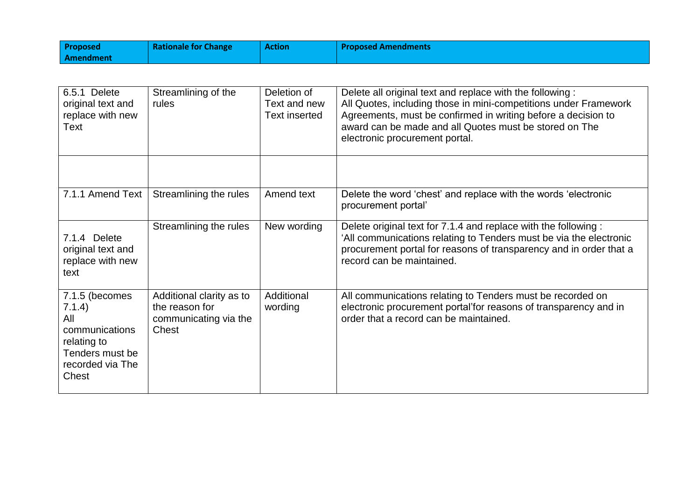| <b>Proposed</b> | <b>Rationale for Change</b> | <b>Action</b> | <b>Proposed Amendments</b> |
|-----------------|-----------------------------|---------------|----------------------------|
| Amendment       |                             |               |                            |

| 6.5.1 Delete<br>original text and<br>replace with new<br>Text                                                    | Streamlining of the<br>rules                                                 | Deletion of<br>Text and new<br><b>Text inserted</b> | Delete all original text and replace with the following:<br>All Quotes, including those in mini-competitions under Framework<br>Agreements, must be confirmed in writing before a decision to<br>award can be made and all Quotes must be stored on The<br>electronic procurement portal. |
|------------------------------------------------------------------------------------------------------------------|------------------------------------------------------------------------------|-----------------------------------------------------|-------------------------------------------------------------------------------------------------------------------------------------------------------------------------------------------------------------------------------------------------------------------------------------------|
| 7.1.1 Amend Text                                                                                                 | Streamlining the rules                                                       | Amend text                                          | Delete the word 'chest' and replace with the words 'electronic<br>procurement portal'                                                                                                                                                                                                     |
| 7.1.4 Delete<br>original text and<br>replace with new<br>text                                                    | Streamlining the rules                                                       | New wording                                         | Delete original text for 7.1.4 and replace with the following:<br>'All communications relating to Tenders must be via the electronic<br>procurement portal for reasons of transparency and in order that a<br>record can be maintained.                                                   |
| 7.1.5 (becomes<br>7.1.4)<br>All<br>communications<br>relating to<br>Tenders must be<br>recorded via The<br>Chest | Additional clarity as to<br>the reason for<br>communicating via the<br>Chest | Additional<br>wording                               | All communications relating to Tenders must be recorded on<br>electronic procurement portal'for reasons of transparency and in<br>order that a record can be maintained.                                                                                                                  |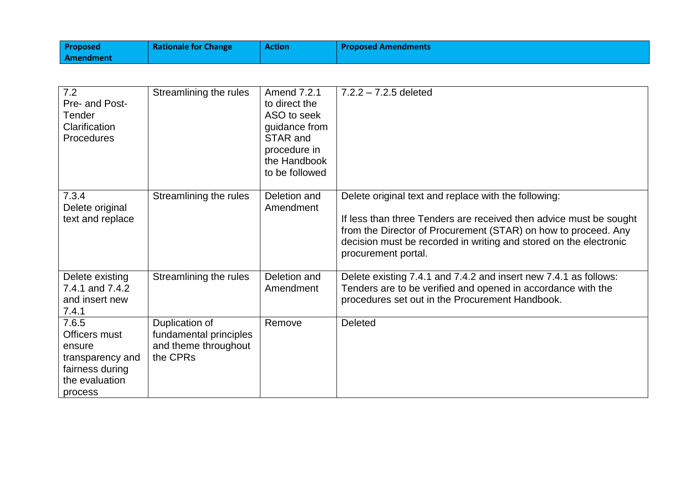| <b>Proposed</b> | <b>Rationale for Change</b> | <b>Action</b> | <b>Proposed Amendments</b> |
|-----------------|-----------------------------|---------------|----------------------------|
| Amendment       |                             |               |                            |

| $\overline{7.2}$<br>Pre- and Post-<br>Tender<br>Clarification<br>Procedures                          | Streamlining the rules                                                       | Amend 7.2.1<br>to direct the<br>ASO to seek<br>guidance from<br>STAR and<br>procedure in<br>the Handbook<br>to be followed | $7.2.2 - 7.2.5$ deleted                                                                                                                                                                                                                                                                  |
|------------------------------------------------------------------------------------------------------|------------------------------------------------------------------------------|----------------------------------------------------------------------------------------------------------------------------|------------------------------------------------------------------------------------------------------------------------------------------------------------------------------------------------------------------------------------------------------------------------------------------|
| 7.3.4<br>Delete original<br>text and replace                                                         | Streamlining the rules                                                       | Deletion and<br>Amendment                                                                                                  | Delete original text and replace with the following:<br>If less than three Tenders are received then advice must be sought<br>from the Director of Procurement (STAR) on how to proceed. Any<br>decision must be recorded in writing and stored on the electronic<br>procurement portal. |
| Delete existing<br>7.4.1 and 7.4.2<br>and insert new<br>7.4.1                                        | Streamlining the rules                                                       | Deletion and<br>Amendment                                                                                                  | Delete existing 7.4.1 and 7.4.2 and insert new 7.4.1 as follows:<br>Tenders are to be verified and opened in accordance with the<br>procedures set out in the Procurement Handbook.                                                                                                      |
| 7.6.5<br>Officers must<br>ensure<br>transparency and<br>fairness during<br>the evaluation<br>process | Duplication of<br>fundamental principles<br>and theme throughout<br>the CPRs | Remove                                                                                                                     | <b>Deleted</b>                                                                                                                                                                                                                                                                           |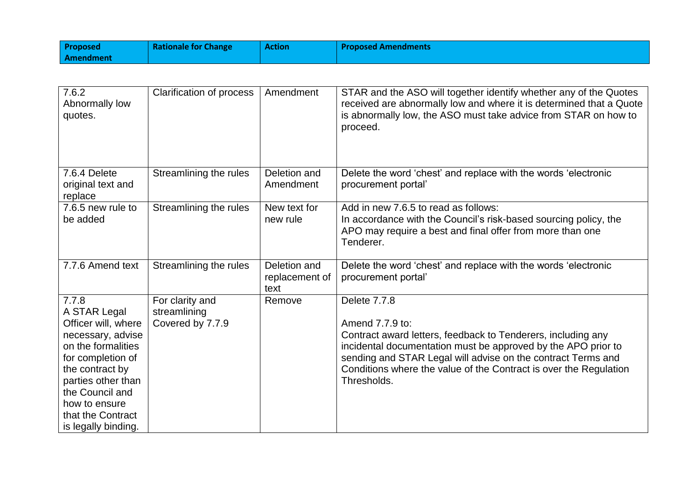| <b>Proposed</b> | <b>Rationale for Change</b> | <b>Action</b> | <b>Proposed Amendments</b> |
|-----------------|-----------------------------|---------------|----------------------------|
| Amendment       |                             |               |                            |

| 7.6.2<br>Abnormally low<br>quotes.                                                                                                                                                                                                    | <b>Clarification of process</b>                     | Amendment                              | STAR and the ASO will together identify whether any of the Quotes<br>received are abnormally low and where it is determined that a Quote<br>is abnormally low, the ASO must take advice from STAR on how to<br>proceed.                                                                                              |
|---------------------------------------------------------------------------------------------------------------------------------------------------------------------------------------------------------------------------------------|-----------------------------------------------------|----------------------------------------|----------------------------------------------------------------------------------------------------------------------------------------------------------------------------------------------------------------------------------------------------------------------------------------------------------------------|
| 7.6.4 Delete<br>original text and<br>replace                                                                                                                                                                                          | Streamlining the rules                              | Deletion and<br>Amendment              | Delete the word 'chest' and replace with the words 'electronic<br>procurement portal'                                                                                                                                                                                                                                |
| 7.6.5 new rule to<br>be added                                                                                                                                                                                                         | Streamlining the rules                              | New text for<br>new rule               | Add in new 7.6.5 to read as follows:<br>In accordance with the Council's risk-based sourcing policy, the<br>APO may require a best and final offer from more than one<br>Tenderer.                                                                                                                                   |
| 7.7.6 Amend text                                                                                                                                                                                                                      | Streamlining the rules                              | Deletion and<br>replacement of<br>text | Delete the word 'chest' and replace with the words 'electronic<br>procurement portal'                                                                                                                                                                                                                                |
| 7.7.8<br>A STAR Legal<br>Officer will, where<br>necessary, advise<br>on the formalities<br>for completion of<br>the contract by<br>parties other than<br>the Council and<br>how to ensure<br>that the Contract<br>is legally binding. | For clarity and<br>streamlining<br>Covered by 7.7.9 | Remove                                 | Delete 7.7.8<br>Amend 7.7.9 to:<br>Contract award letters, feedback to Tenderers, including any<br>incidental documentation must be approved by the APO prior to<br>sending and STAR Legal will advise on the contract Terms and<br>Conditions where the value of the Contract is over the Regulation<br>Thresholds. |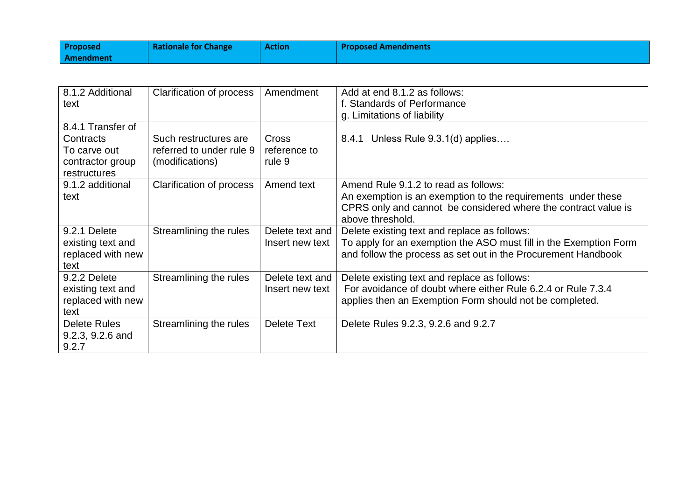| <b>Proposed</b> | <b>Rationale for Change</b> | <b>Action</b> | <b>Proposed Amendments</b> |
|-----------------|-----------------------------|---------------|----------------------------|
| Amendment       |                             |               |                            |

| 8.1.2 Additional<br>text                                                           | Clarification of process                                             | Amendment                              | Add at end 8.1.2 as follows:<br>f. Standards of Performance<br>g. Limitations of liability                                                                                                 |
|------------------------------------------------------------------------------------|----------------------------------------------------------------------|----------------------------------------|--------------------------------------------------------------------------------------------------------------------------------------------------------------------------------------------|
| 8.4.1 Transfer of<br>Contracts<br>To carve out<br>contractor group<br>restructures | Such restructures are<br>referred to under rule 9<br>(modifications) | <b>Cross</b><br>reference to<br>rule 9 | 8.4.1 Unless Rule $9.3.1(d)$ applies                                                                                                                                                       |
| 9.1.2 additional<br>text                                                           | Clarification of process                                             | Amend text                             | Amend Rule 9.1.2 to read as follows:<br>An exemption is an exemption to the requirements under these<br>CPRS only and cannot be considered where the contract value is<br>above threshold. |
| 9.2.1 Delete<br>existing text and<br>replaced with new<br>text                     | Streamlining the rules                                               | Delete text and<br>Insert new text     | Delete existing text and replace as follows:<br>To apply for an exemption the ASO must fill in the Exemption Form<br>and follow the process as set out in the Procurement Handbook         |
| 9.2.2 Delete<br>existing text and<br>replaced with new<br>text                     | Streamlining the rules                                               | Delete text and<br>Insert new text     | Delete existing text and replace as follows:<br>For avoidance of doubt where either Rule 6.2.4 or Rule 7.3.4<br>applies then an Exemption Form should not be completed.                    |
| Delete Rules<br>9.2.3, 9.2.6 and<br>9.2.7                                          | Streamlining the rules                                               | Delete Text                            | Delete Rules 9.2.3, 9.2.6 and 9.2.7                                                                                                                                                        |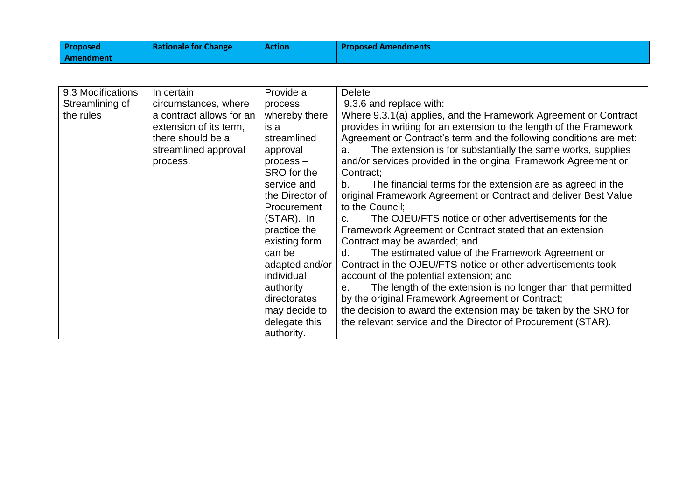| <b>Proposed</b> | <b>Rationale for Change</b> | <b>Action</b> | <b>Proposed Amendments</b> |
|-----------------|-----------------------------|---------------|----------------------------|
| Amendment       |                             |               |                            |

| 9.3 Modifications | In certain               | Provide a       | <b>Delete</b>                                                       |
|-------------------|--------------------------|-----------------|---------------------------------------------------------------------|
| Streamlining of   | circumstances, where     | process         | 9.3.6 and replace with:                                             |
| the rules         | a contract allows for an | whereby there   | Where 9.3.1(a) applies, and the Framework Agreement or Contract     |
|                   | extension of its term.   | is a            | provides in writing for an extension to the length of the Framework |
|                   | there should be a        | streamlined     | Agreement or Contract's term and the following conditions are met:  |
|                   | streamlined approval     | approval        | The extension is for substantially the same works, supplies<br>a.   |
|                   | process.                 | $process -$     | and/or services provided in the original Framework Agreement or     |
|                   |                          | SRO for the     | Contract;                                                           |
|                   |                          | service and     | The financial terms for the extension are as agreed in the<br>b.    |
|                   |                          | the Director of | original Framework Agreement or Contract and deliver Best Value     |
|                   |                          | Procurement     | to the Council;                                                     |
|                   |                          | (STAR). In      | The OJEU/FTS notice or other advertisements for the<br>C.           |
|                   |                          | practice the    | Framework Agreement or Contract stated that an extension            |
|                   |                          | existing form   | Contract may be awarded; and                                        |
|                   |                          | can be          | The estimated value of the Framework Agreement or<br>d.             |
|                   |                          | adapted and/or  | Contract in the OJEU/FTS notice or other advertisements took        |
|                   |                          | individual      | account of the potential extension; and                             |
|                   |                          | authority       | The length of the extension is no longer than that permitted<br>е.  |
|                   |                          | directorates    | by the original Framework Agreement or Contract;                    |
|                   |                          | may decide to   | the decision to award the extension may be taken by the SRO for     |
|                   |                          | delegate this   | the relevant service and the Director of Procurement (STAR).        |
|                   |                          | authority.      |                                                                     |